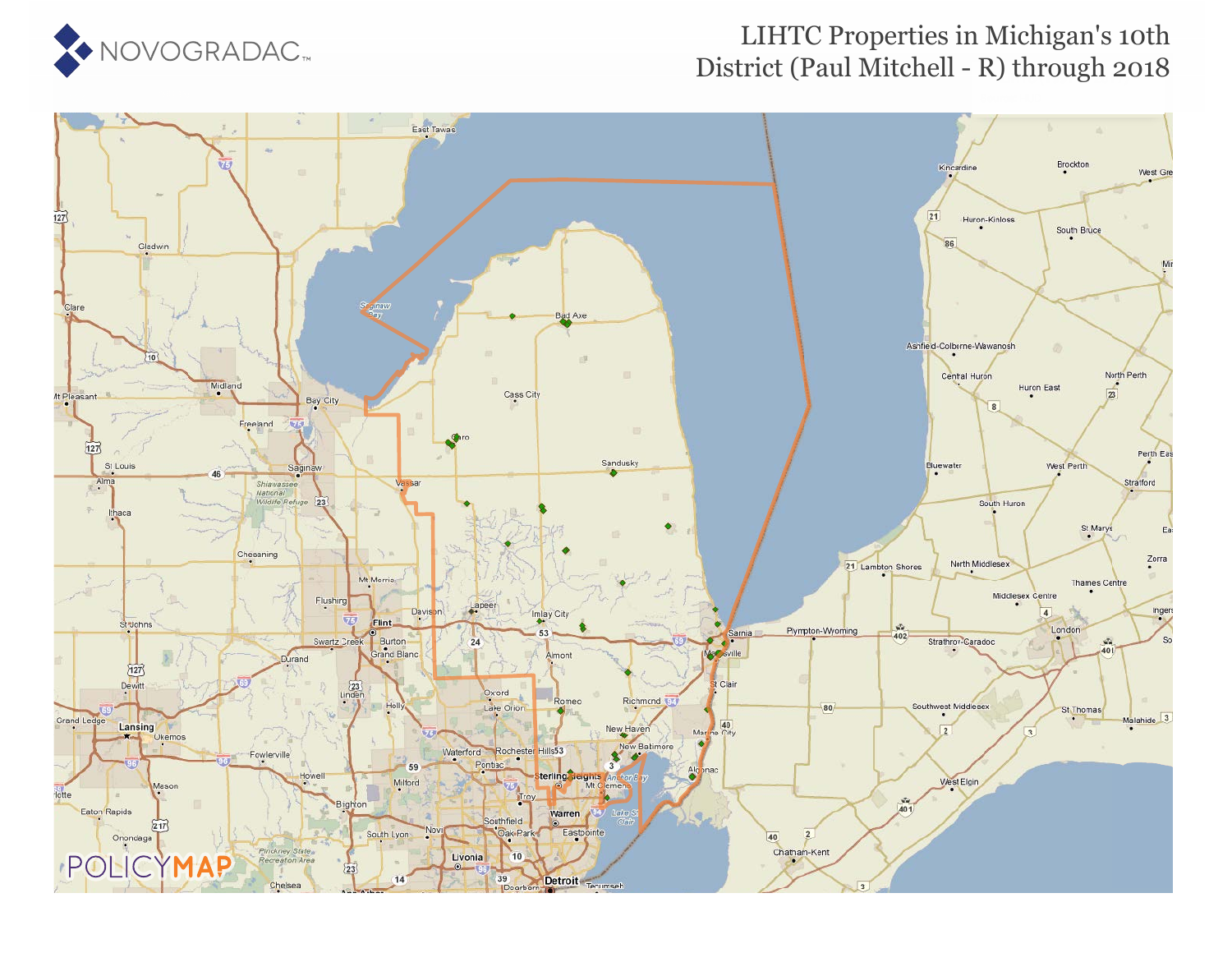

### District (Paul Mitchell - R) through 2018 LIHTC Properties in Michigan's 10th

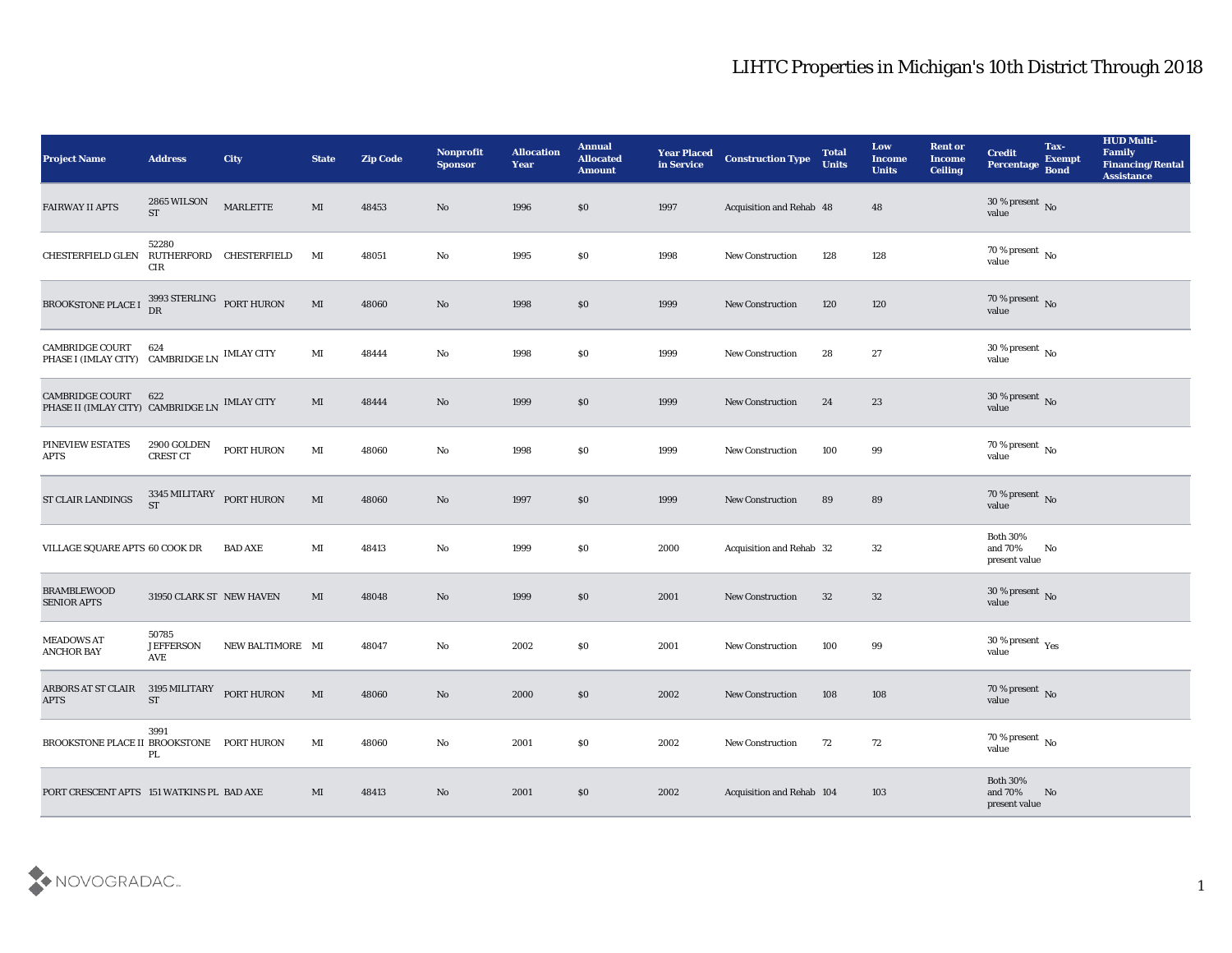| <b>Project Name</b>                                                     | <b>Address</b>                          | City             | <b>State</b>   | <b>Zip Code</b> | Nonprofit<br><b>Sponsor</b> | <b>Allocation</b><br>Year | <b>Annual</b><br><b>Allocated</b><br><b>Amount</b> | <b>Year Placed</b><br>in Service | <b>Construction Type</b>  | <b>Total</b><br><b>Units</b> | Low<br><b>Income</b><br><b>Units</b> | <b>Rent or</b><br><b>Income</b><br><b>Ceiling</b> | <b>Credit</b><br>Percentage                 | Tax-<br><b>Exempt</b><br><b>Bond</b> | <b>HUD Multi-</b><br>Family<br><b>Financing/Rental</b><br><b>Assistance</b> |
|-------------------------------------------------------------------------|-----------------------------------------|------------------|----------------|-----------------|-----------------------------|---------------------------|----------------------------------------------------|----------------------------------|---------------------------|------------------------------|--------------------------------------|---------------------------------------------------|---------------------------------------------|--------------------------------------|-----------------------------------------------------------------------------|
| <b>FAIRWAY II APTS</b>                                                  | 2865 WILSON<br>$\operatorname{ST}$      | MARLETTE         | MI             | 48453           | No                          | 1996                      | \$0                                                | 1997                             | Acquisition and Rehab 48  |                              | 48                                   |                                                   | $30\,\%$ present $\,$ No value              |                                      |                                                                             |
| CHESTERFIELD GLEN                                                       | 52280<br>RUTHERFORD CHESTERFIELD<br>CIR |                  | MI             | 48051           | No                          | 1995                      | \$0                                                | 1998                             | <b>New Construction</b>   | 128                          | 128                                  |                                                   | $70\,\%$ present $\,$ No value              |                                      |                                                                             |
| BROOKSTONE PLACE I                                                      | 3993 STERLING PORT HURON<br>DR          |                  | MI             | 48060           | No                          | 1998                      | \$0                                                | 1999                             | New Construction          | 120                          | 120                                  |                                                   | $70\,\%$ present $\,$ No value              |                                      |                                                                             |
| <b>CAMBRIDGE COURT</b><br>PHASE I (IMLAY CITY) CAMBRIDGE LN IMLAY CITY  | 624                                     |                  | $\mathbf{M}$ I | 48444           | $\rm\thinspace No$          | 1998                      | \$0                                                | 1999                             | New Construction          | 28                           | 27                                   |                                                   | $30\,\%$ present $\,$ No value              |                                      |                                                                             |
| <b>CAMBRIDGE COURT</b><br>PHASE II (IMLAY CITY) CAMBRIDGE LN IMLAY CITY | 622                                     |                  | MI             | 48444           | No                          | 1999                      | \$0                                                | 1999                             | <b>New Construction</b>   | 24                           | 23                                   |                                                   | $30\,\%$ present $\,$ No value              |                                      |                                                                             |
| PINEVIEW ESTATES<br><b>APTS</b>                                         | 2900 GOLDEN<br>CREST CT                 | PORT HURON       | $\mathbf{M}$ I | 48060           | $\mathbf {No}$              | 1998                      | \$0                                                | 1999                             | <b>New Construction</b>   | 100                          | 99                                   |                                                   | $70\,\%$ present $\,$ No value              |                                      |                                                                             |
| <b>ST CLAIR LANDINGS</b>                                                | 3345 MILITARY<br><b>ST</b>              | PORT HURON       | MI             | 48060           | No                          | 1997                      | \$0                                                | 1999                             | New Construction          | 89                           | 89                                   |                                                   | $70\,\%$ present $\,$ No value              |                                      |                                                                             |
| VILLAGE SQUARE APTS 60 COOK DR                                          |                                         | <b>BAD AXE</b>   | MI             | 48413           | No                          | 1999                      | \$0                                                | 2000                             | Acquisition and Rehab 32  |                              | 32                                   |                                                   | <b>Both 30%</b><br>and 70%<br>present value | No                                   |                                                                             |
| <b>BRAMBLEWOOD</b><br><b>SENIOR APTS</b>                                | 31950 CLARK ST NEW HAVEN                |                  | MI             | 48048           | No                          | 1999                      | \$0                                                | 2001                             | New Construction          | 32                           | 32                                   |                                                   | $30\,\%$ present $\,$ No value              |                                      |                                                                             |
| <b>MEADOWS AT</b><br>ANCHOR BAY                                         | 50785<br><b>JEFFERSON</b><br>AVE        | NEW BALTIMORE MI |                | 48047           | $\mathbf {No}$              | 2002                      | \$0                                                | 2001                             | <b>New Construction</b>   | 100                          | 99                                   |                                                   | $30\,\%$ present $\,$ Yes value             |                                      |                                                                             |
| ARBORS AT ST CLAIR<br><b>APTS</b>                                       | 3195 MILITARY<br><b>ST</b>              | PORT HURON       | MI             | 48060           | No                          | 2000                      | S <sub>0</sub>                                     | 2002                             | <b>New Construction</b>   | 108                          | 108                                  |                                                   | $70\,\%$ present $\,$ No value              |                                      |                                                                             |
| BROOKSTONE PLACE II BROOKSTONE PORT HURON                               | 3991<br>PL                              |                  | MI             | 48060           | $\mathbf{No}$               | 2001                      | \$0                                                | 2002                             | New Construction          | 72                           | 72                                   |                                                   | 70 % present $\,$ No $\,$<br>value          |                                      |                                                                             |
| PORT CRESCENT APTS 151 WATKINS PL BAD AXE                               |                                         |                  | MI             | 48413           | No                          | 2001                      | $\$0$                                              | 2002                             | Acquisition and Rehab 104 |                              | 103                                  |                                                   | Both $30\%$<br>and 70%<br>present value     | No                                   |                                                                             |

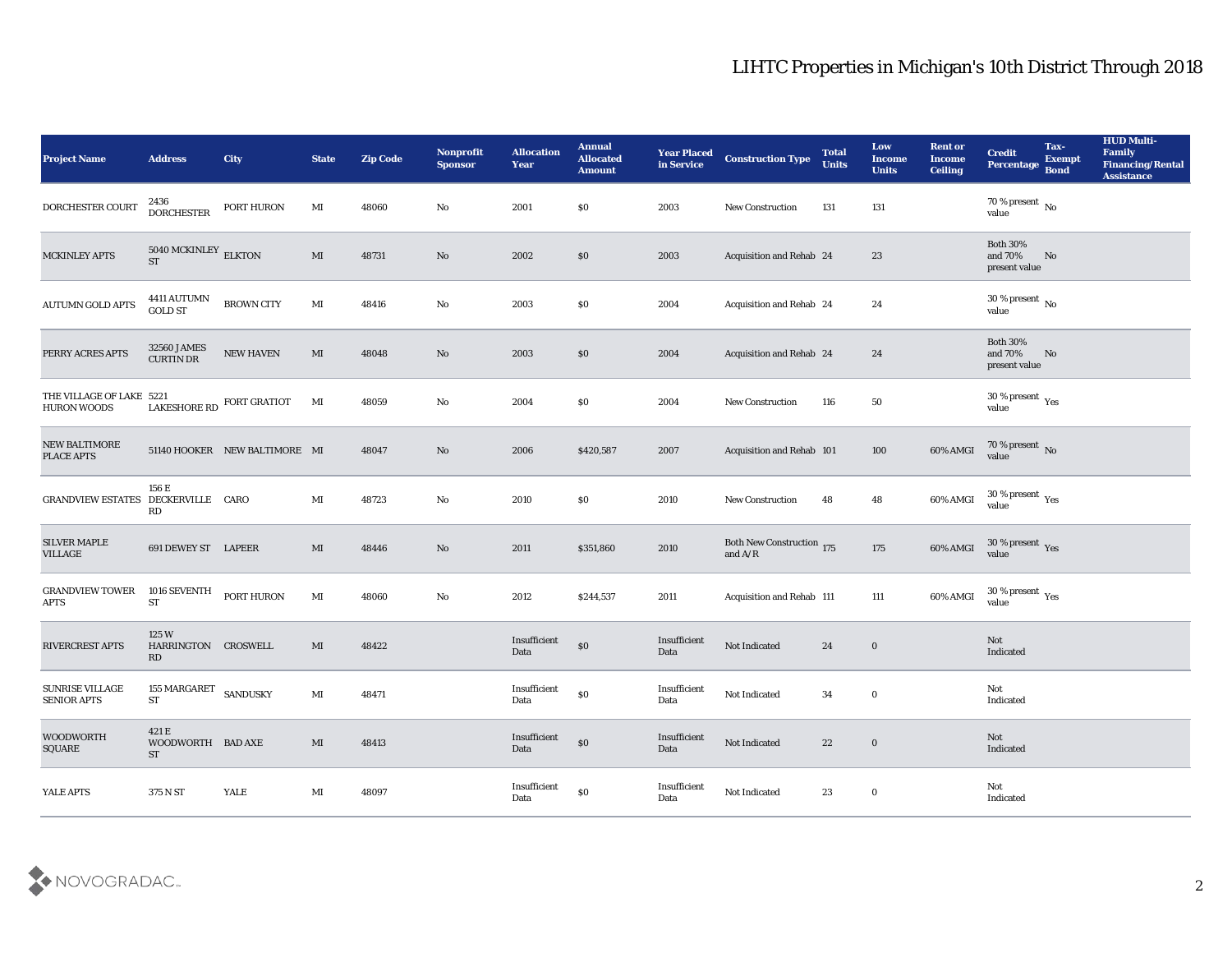| <b>Project Name</b>                            | <b>Address</b>                             | <b>City</b>                   | <b>State</b>           | <b>Zip Code</b> | Nonprofit<br><b>Sponsor</b> | <b>Allocation</b><br><b>Year</b> | <b>Annual</b><br><b>Allocated</b><br><b>Amount</b> | <b>Year Placed</b><br>in Service | <b>Construction Type</b>               | <b>Total</b><br><b>Units</b> | Low<br><b>Income</b><br><b>Units</b> | <b>Rent or</b><br><b>Income</b><br>Ceiling | <b>Credit</b><br>Percentage                 | Tax-<br><b>Exempt</b><br><b>Bond</b> | <b>HUD Multi-</b><br>Family<br><b>Financing/Rental</b><br><b>Assistance</b> |
|------------------------------------------------|--------------------------------------------|-------------------------------|------------------------|-----------------|-----------------------------|----------------------------------|----------------------------------------------------|----------------------------------|----------------------------------------|------------------------------|--------------------------------------|--------------------------------------------|---------------------------------------------|--------------------------------------|-----------------------------------------------------------------------------|
| DORCHESTER COURT                               | 2436<br><b>DORCHESTER</b>                  | PORT HURON                    | MI                     | 48060           | No                          | 2001                             | \$0                                                | 2003                             | New Construction                       | 131                          | 131                                  |                                            | 70 % present $\,$ No $\,$<br>value          |                                      |                                                                             |
| <b>MCKINLEY APTS</b>                           | $5040\,{\rm MCKINLEY}$ ELKTON<br><b>ST</b> |                               | $\mathbf{M}\mathbf{I}$ | 48731           | No                          | 2002                             | \$0                                                | 2003                             | Acquisition and Rehab 24               |                              | 23                                   |                                            | <b>Both 30%</b><br>and 70%<br>present value | No                                   |                                                                             |
| <b>AUTUMN GOLD APTS</b>                        | 4411 AUTUMN<br><b>GOLD ST</b>              | <b>BROWN CITY</b>             | MI                     | 48416           | No                          | 2003                             | \$0                                                | 2004                             | Acquisition and Rehab 24               |                              | 24                                   |                                            | $30\,\%$ present $\,$ No $\,$<br>value      |                                      |                                                                             |
| PERRY ACRES APTS                               | 32560 JAMES<br><b>CURTIN DR</b>            | NEW HAVEN                     | MI                     | 48048           | No                          | 2003                             | \$0                                                | 2004                             | Acquisition and Rehab 24               |                              | 24                                   |                                            | <b>Both 30%</b><br>and 70%<br>present value | No                                   |                                                                             |
| THE VILLAGE OF LAKE 5221<br><b>HURON WOODS</b> |                                            | LAKESHORE RD FORT GRATIOT     | MI                     | 48059           | No                          | 2004                             | \$0                                                | 2004                             | <b>New Construction</b>                | 116                          | 50                                   |                                            | $30\,\%$ present $\,$ Yes value             |                                      |                                                                             |
| <b>NEW BALTIMORE</b><br><b>PLACE APTS</b>      |                                            | 51140 HOOKER NEW BALTIMORE MI |                        | 48047           | No                          | 2006                             | \$420,587                                          | 2007                             | Acquisition and Rehab 101              |                              | 100                                  | 60% AMGI                                   | $70\,\%$ present $\,$ No value              |                                      |                                                                             |
| GRANDVIEW ESTATES DECKERVILLE CARO             | 156 E<br>RD                                |                               | MI                     | 48723           | No                          | 2010                             | \$0                                                | 2010                             | New Construction                       | 48                           | 48                                   | 60% AMGI                                   | $30\,\%$ present $\,$ Yes value             |                                      |                                                                             |
| <b>SILVER MAPLE</b><br>VILLAGE                 | 691 DEWEY ST LAPEER                        |                               | MI                     | 48446           | No                          | 2011                             | \$351,860                                          | 2010                             | Both New Construction 175<br>and $A/R$ |                              | 175                                  | 60% AMGI                                   | $30\,\%$ present $\,$ Yes value             |                                      |                                                                             |
| <b>GRANDVIEW TOWER</b><br>APTS                 | 1016 SEVENTH<br><b>ST</b>                  | PORT HURON                    | MI                     | 48060           | $\mathbf{N}\mathbf{o}$      | 2012                             | \$244,537                                          | 2011                             | Acquisition and Rehab 111              |                              | 111                                  | 60% AMGI                                   | $30\,\%$ present $\,$ Yes value             |                                      |                                                                             |
| <b>RIVERCREST APTS</b>                         | 125W<br>HARRINGTON CROSWELL<br><b>RD</b>   |                               | MI                     | 48422           |                             | Insufficient<br>Data             | $\$0$                                              | Insufficient<br>Data             | Not Indicated                          | 24                           | $\bf{0}$                             |                                            | Not<br>Indicated                            |                                      |                                                                             |
| <b>SUNRISE VILLAGE</b><br><b>SENIOR APTS</b>   | 155 MARGARET SANDUSKY<br>${\rm ST}$        |                               | MI                     | 48471           |                             | Insufficient<br>Data             | $\$0$                                              | Insufficient<br>Data             | Not Indicated                          | 34                           | $\bf{0}$                             |                                            | Not<br>Indicated                            |                                      |                                                                             |
| <b>WOODWORTH</b><br>SQUARE                     | 421 E<br>WOODWORTH BAD AXE<br><b>ST</b>    |                               | $\mathbf{M}$           | 48413           |                             | Insufficient<br>Data             | $\$0$                                              | Insufficient<br>Data             | Not Indicated                          | 22                           | $\boldsymbol{0}$                     |                                            | $\operatorname{\bf Not}$<br>Indicated       |                                      |                                                                             |
| YALE APTS                                      | 375 N ST                                   | YALE                          | $\mathbf{M}$ I         | 48097           |                             | Insufficient<br>Data             | $\$0$                                              | Insufficient<br>Data             | Not Indicated                          | 23                           | $\bf{0}$                             |                                            | Not<br>Indicated                            |                                      |                                                                             |

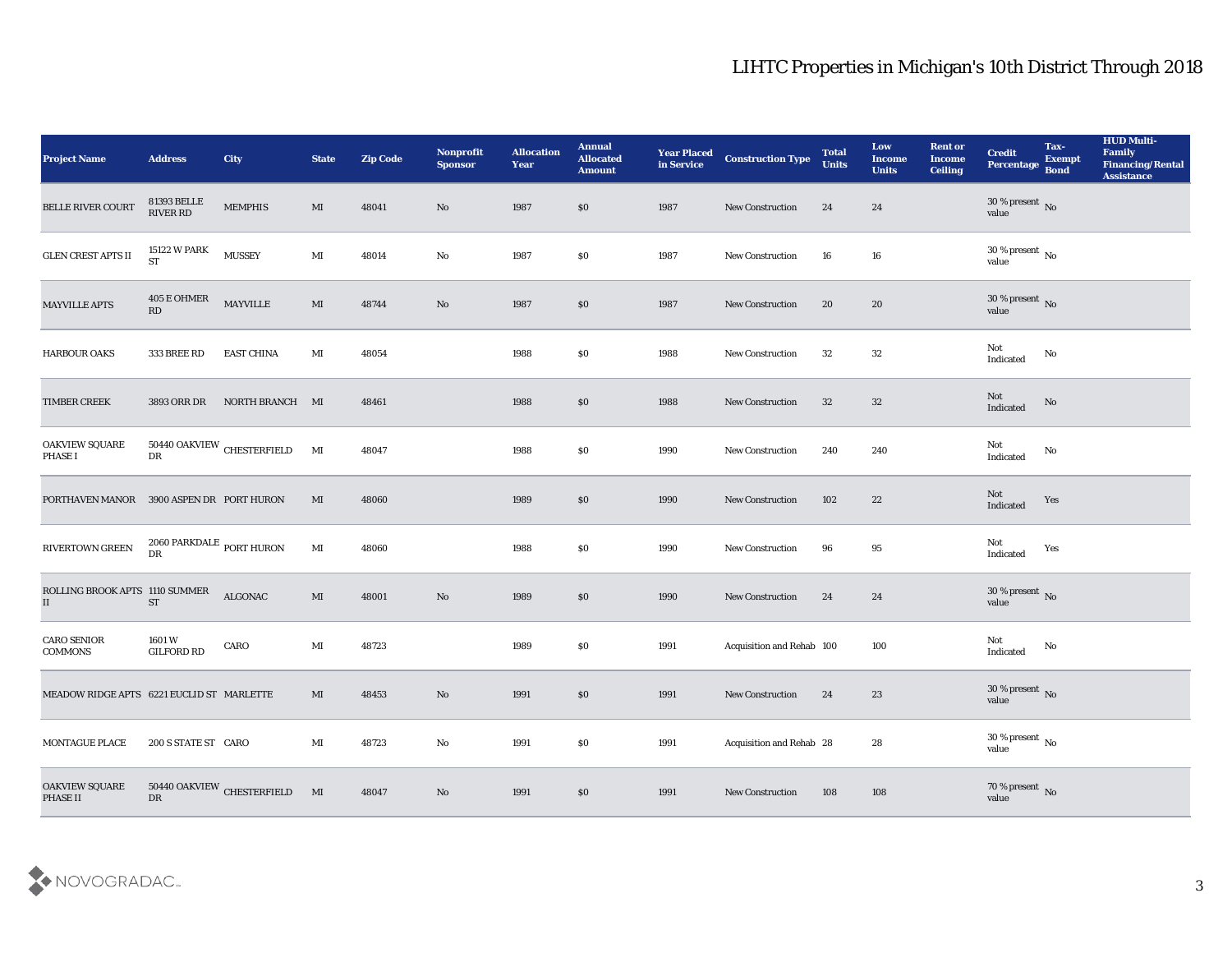| <b>Project Name</b>                        | <b>Address</b>                        | City                                     | <b>State</b>   | <b>Zip Code</b> | Nonprofit<br><b>Sponsor</b> | <b>Allocation</b><br>Year | <b>Annual</b><br><b>Allocated</b><br><b>Amount</b> | <b>Year Placed</b><br>in Service | <b>Construction Type</b>  | <b>Total</b><br><b>Units</b> | Low<br><b>Income</b><br><b>Units</b> | <b>Rent or</b><br><b>Income</b><br><b>Ceiling</b> | <b>Credit</b><br>Percentage        | Tax-<br><b>Exempt</b><br><b>Bond</b> | <b>HUD Multi-</b><br>Family<br>Financing/Rental<br><b>Assistance</b> |
|--------------------------------------------|---------------------------------------|------------------------------------------|----------------|-----------------|-----------------------------|---------------------------|----------------------------------------------------|----------------------------------|---------------------------|------------------------------|--------------------------------------|---------------------------------------------------|------------------------------------|--------------------------------------|----------------------------------------------------------------------|
| <b>BELLE RIVER COURT</b>                   | 81393 BELLE<br>RIVER RD               | <b>MEMPHIS</b>                           | MI             | 48041           | No                          | 1987                      | $\$0$                                              | 1987                             | <b>New Construction</b>   | 24                           | 24                                   |                                                   | $30\,\%$ present $\,$ No value     |                                      |                                                                      |
| GLEN CREST APTS $\rm II$                   | 15122 W PARK<br><b>ST</b>             | <b>MUSSEY</b>                            | $\mathbf{M}$ I | 48014           | No                          | 1987                      | \$0                                                | 1987                             | New Construction          | 16                           | 16                                   |                                                   | $30\,\%$ present $\,$ No value     |                                      |                                                                      |
| <b>MAYVILLE APTS</b>                       | 405 E OHMER<br>RD                     | MAYVILLE                                 | $\mathbf{M}$   | 48744           | $\rm \bf No$                | 1987                      | \$0                                                | 1987                             | <b>New Construction</b>   | 20                           | 20                                   |                                                   | $30\,\%$ present $\,$ No value     |                                      |                                                                      |
| HARBOUR OAKS                               | 333 BREE RD                           | <b>EAST CHINA</b>                        | MI             | 48054           |                             | 1988                      | \$0                                                | 1988                             | New Construction          | 32                           | 32                                   |                                                   | Not<br>Indicated                   | No                                   |                                                                      |
| <b>TIMBER CREEK</b>                        | 3893 ORR DR                           | NORTH BRANCH MI                          |                | 48461           |                             | 1988                      | \$0                                                | 1988                             | <b>New Construction</b>   | 32                           | 32                                   |                                                   | Not<br>Indicated                   | No                                   |                                                                      |
| OAKVIEW SQUARE<br><b>PHASE I</b>           | DR                                    | $50440$ OAKVIEW $\,$ CHESTERFIELD        | $\mathbf{M}$   | 48047           |                             | 1988                      | \$0                                                | 1990                             | <b>New Construction</b>   | 240                          | 240                                  |                                                   | Not<br>Indicated                   | No                                   |                                                                      |
| PORTHAVEN MANOR 3900 ASPEN DR PORT HURON   |                                       |                                          | MI             | 48060           |                             | 1989                      | $\$0$                                              | 1990                             | New Construction          | 102                          | 22                                   |                                                   | Not<br>Indicated                   | Yes                                  |                                                                      |
| RIVERTOWN GREEN                            | $2060$ PARKDALE $\,$ PORT HURON<br>DR |                                          | $\mathbf{M}$ I | 48060           |                             | 1988                      | \$0                                                | 1990                             | <b>New Construction</b>   | 96                           | 95                                   |                                                   | Not<br>Indicated                   | Yes                                  |                                                                      |
| ROLLING BROOK APTS 1110 SUMMER<br>$\rm II$ | <b>ST</b>                             | ALGONAC                                  | $\mathbf{M}$   | 48001           | $\rm\thinspace No$          | 1989                      | \$0                                                | 1990                             | New Construction          | 24                           | 24                                   |                                                   | $30\,\%$ present $\,$ No value     |                                      |                                                                      |
| <b>CARO SENIOR</b><br><b>COMMONS</b>       | 1601W<br><b>GILFORD RD</b>            | CARO                                     | MI             | 48723           |                             | 1989                      | \$0                                                | 1991                             | Acquisition and Rehab 100 |                              | 100                                  |                                                   | Not<br>$\operatorname{Indicated}$  | $\mathbf{No}$                        |                                                                      |
| MEADOW RIDGE APTS 6221 EUCLID ST MARLETTE  |                                       |                                          | MI             | 48453           | No                          | 1991                      | \$0                                                | 1991                             | New Construction          | 24                           | 23                                   |                                                   | $30\,\%$ present $\,$ No value     |                                      |                                                                      |
| <b>MONTAGUE PLACE</b>                      | 200 S STATE ST CARO                   |                                          | $\mathbf{M}$ I | 48723           | $\mathbf {No}$              | 1991                      | $\$0$                                              | 1991                             | Acquisition and Rehab 28  |                              | ${\bf 28}$                           |                                                   | 30 % present $\,$ No $\,$<br>value |                                      |                                                                      |
| <b>OAKVIEW SQUARE</b><br>PHASE II          | ${\rm DR}$                            | $50440$ OAKVIEW $_{\mbox{CHESTERFIELD}}$ | $$\rm{MI}$$    | 48047           | $\rm\, No$                  | 1991                      | $\$0$                                              | 1991                             | <b>New Construction</b>   | 108                          | 108                                  |                                                   | $70\,\%$ present $\,$ No value     |                                      |                                                                      |

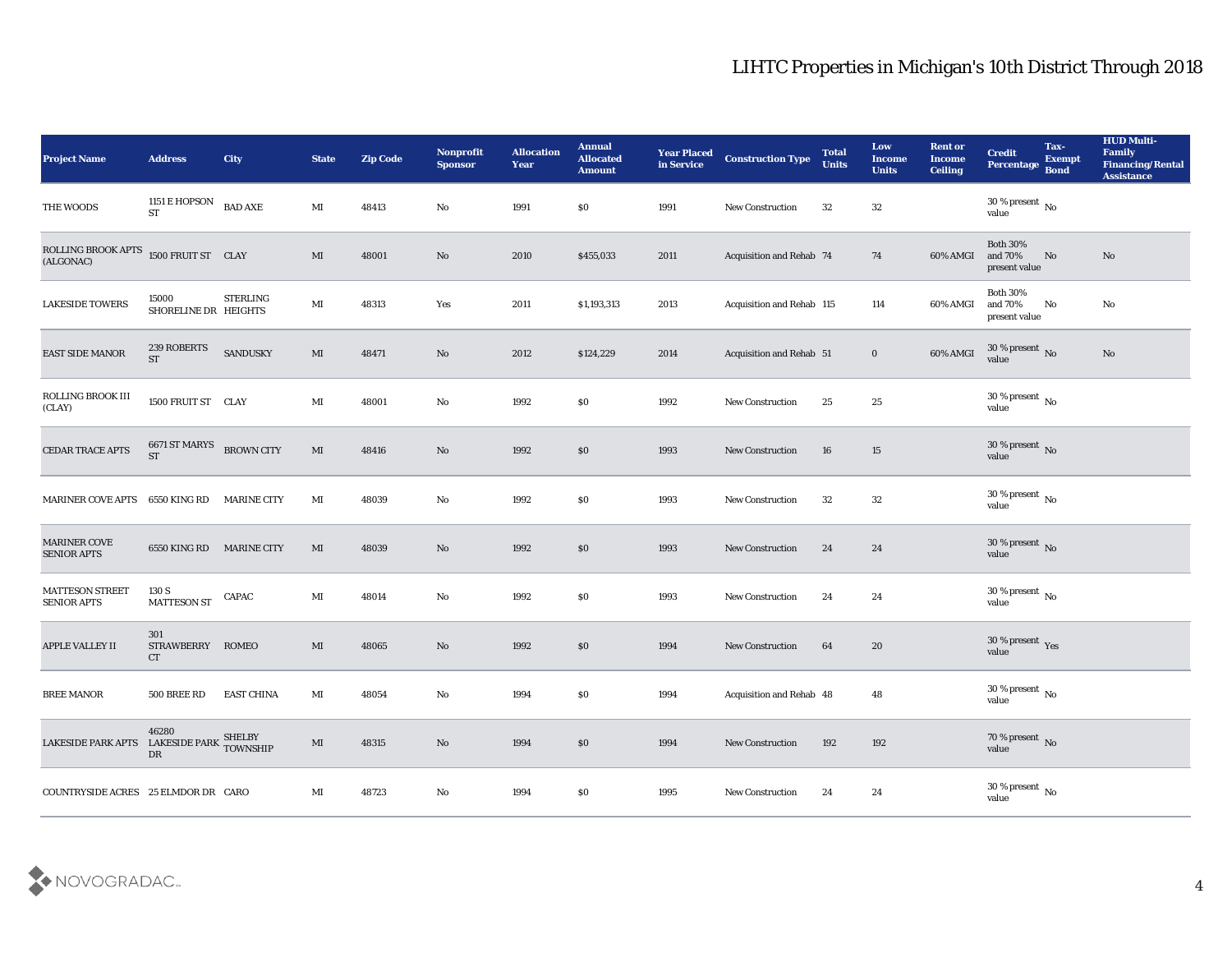| Project Name                                 | <b>Address</b>                        | <b>City</b>        | <b>State</b>           | <b>Zip Code</b> | Nonprofit<br><b>Sponsor</b> | <b>Allocation</b><br><b>Year</b> | <b>Annual</b><br><b>Allocated</b><br><b>Amount</b> | <b>Year Placed</b><br>in Service | <b>Construction Type</b>        | <b>Total</b><br><b>Units</b> | Low<br><b>Income</b><br><b>Units</b> | <b>Rent or</b><br><b>Income</b><br><b>Ceiling</b> | <b>Credit</b><br>Percentage                 | Tax-<br><b>Exempt</b><br><b>Bond</b> | <b>HUD Multi-</b><br>Family<br><b>Financing/Rental</b><br><b>Assistance</b> |
|----------------------------------------------|---------------------------------------|--------------------|------------------------|-----------------|-----------------------------|----------------------------------|----------------------------------------------------|----------------------------------|---------------------------------|------------------------------|--------------------------------------|---------------------------------------------------|---------------------------------------------|--------------------------------------|-----------------------------------------------------------------------------|
| THE WOODS                                    | 1151 E HOPSON<br>$\operatorname{ST}$  | <b>BAD AXE</b>     | $\mathbf{M}\mathbf{I}$ | 48413           | No                          | 1991                             | \$0                                                | 1991                             | New Construction                | 32                           | 32                                   |                                                   | $30\,\%$ present $\,$ No value              |                                      |                                                                             |
| ROLLING BROOK APTS<br>(ALGONAC)              | 1500 FRUIT ST CLAY                    |                    | $\mathbf{M}\mathbf{I}$ | 48001           | No                          | 2010                             | \$455,033                                          | 2011                             | Acquisition and Rehab 74        |                              | 74                                   | 60% AMGI                                          | <b>Both 30%</b><br>and 70%<br>present value | No                                   | No                                                                          |
| <b>LAKESIDE TOWERS</b>                       | 15000<br>SHORELINE DR HEIGHTS         | <b>STERLING</b>    | MI                     | 48313           | Yes                         | 2011                             | \$1,193,313                                        | 2013                             | Acquisition and Rehab 115       |                              | 114                                  | 60% AMGI                                          | <b>Both 30%</b><br>and 70%<br>present value | No                                   | No                                                                          |
| EAST SIDE MANOR                              | 239 ROBERTS<br><b>ST</b>              | <b>SANDUSKY</b>    | $\mathbf{M}$           | 48471           | No                          | 2012                             | \$124,229                                          | 2014                             | <b>Acquisition and Rehab 51</b> |                              | $\bf{0}$                             | 60% AMGI                                          | $30\,\%$ present $\,$ No value              |                                      | No                                                                          |
| ROLLING BROOK III<br>(CLAY)                  | 1500 FRUIT ST CLAY                    |                    | MI                     | 48001           | No                          | 1992                             | \$0                                                | 1992                             | <b>New Construction</b>         | 25                           | 25                                   |                                                   | $30\,\%$ present $\,$ No value              |                                      |                                                                             |
| CEDAR TRACE APTS                             | 6671 ST MARYS<br><b>ST</b>            | <b>BROWN CITY</b>  | MI                     | 48416           | No                          | 1992                             | $\$0$                                              | 1993                             | New Construction                | 16                           | 15                                   |                                                   | $30\,\%$ present $\,$ No value              |                                      |                                                                             |
| <b>MARINER COVE APTS</b>                     | 6550 KING RD                          | <b>MARINE CITY</b> | MI                     | 48039           | No                          | 1992                             | \$0                                                | 1993                             | <b>New Construction</b>         | 32                           | 32                                   |                                                   | $30\,\%$ present $\,$ No value              |                                      |                                                                             |
| MARINER COVE<br><b>SENIOR APTS</b>           | 6550 KING RD                          | <b>MARINE CITY</b> | MI                     | 48039           | No                          | 1992                             | \$0                                                | 1993                             | <b>New Construction</b>         | 24                           | 24                                   |                                                   | $30\,\%$ present $\,$ No value              |                                      |                                                                             |
| <b>MATTESON STREET</b><br><b>SENIOR APTS</b> | 130 S<br><b>MATTESON ST</b>           | CAPAC              | MI                     | 48014           | $\rm\thinspace No$          | 1992                             | \$0                                                | 1993                             | <b>New Construction</b>         | 24                           | 24                                   |                                                   | $30\,\%$ present $\,$ No value              |                                      |                                                                             |
| APPLE VALLEY II                              | 301<br><b>STRAWBERRY</b><br><b>CT</b> | <b>ROMEO</b>       | MI                     | 48065           | $\rm\thinspace No$          | 1992                             | \$0                                                | 1994                             | New Construction                | 64                           | 20                                   |                                                   | $30\,\%$ present $\,$ Yes value             |                                      |                                                                             |
| <b>BREE MANOR</b>                            | 500 BREE RD                           | <b>EAST CHINA</b>  | MI                     | 48054           | No                          | 1994                             | \$0                                                | 1994                             | Acquisition and Rehab 48        |                              | 48                                   |                                                   | 30 % present $\,$ No $\,$<br>value          |                                      |                                                                             |
| LAKESIDE PARK APTS LAKESIDE PARK             | 46280<br>${\rm DR}$                   | SHELBY<br>TOWNSHIP | MI                     | 48315           | $\rm\, No$                  | 1994                             | \$0                                                | 1994                             | <b>New Construction</b>         | 192                          | 192                                  |                                                   | $70\,\%$ present $\,$ No value              |                                      |                                                                             |
| COUNTRYSIDE ACRES 25 ELMDOR DR CARO          |                                       |                    | $\mathbf{M}\mathbf{I}$ | 48723           | $\rm\, No$                  | 1994                             | $\$0$                                              | 1995                             | <b>New Construction</b>         | 24                           | $\bf 24$                             |                                                   | $30\,\%$ present $\,$ No value              |                                      |                                                                             |